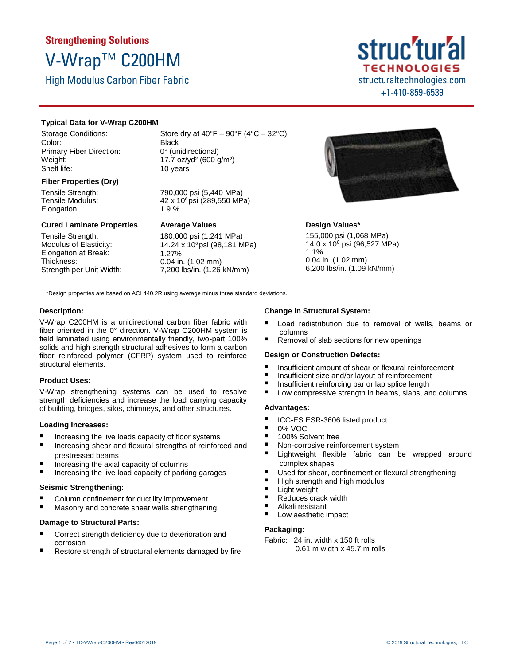# **Strengthening Solutions** V-Wrap™ C200HM

High Modulus Carbon Fiber Fabric

# struc'tur'al **TECHNOLOGIES** structuraltechnologies.com +1-410-859-6539

# **Typical Data for V-Wrap C200HM**

Storage Conditions: Color: Primary Fiber Direction: Weight: Shelf life:

#### **Fiber Properties (Dry)**

Tensile Strength: Tensile Modulus: Elongation:

#### **Cured Laminate Properties**

Tensile Strength: Modulus of Elasticity: Elongation at Break: Thickness: Strength per Unit Width: Store dry at  $40^{\circ}F - 90^{\circ}F (4^{\circ}C - 32^{\circ}C)$ Black 0° (unidirectional) 17.7 oz/yd² (600 g/m²) 10 years

790,000 psi (5,440 MPa) 42 x 106 psi (289,550 MPa) 1.9 %

# **Average Values**

180,000 psi (1,241 MPa) 14.24 x 106 psi (98,181 MPa) 1.27% 0.04 in. (1.02 mm) 7,200 lbs/in. (1.26 kN/mm)



# **Design Values\***

155,000 psi (1,068 MPa) 14.0 x 10<sup>6</sup> psi (96,527 MPa) 1.1% 0.04 in. (1.02 mm) 6,200 lbs/in. (1.09 kN/mm)

\*Design properties are based on ACI 440.2R using average minus three standard deviations.

# **Description:**

V-Wrap C200HM is a unidirectional carbon fiber fabric with fiber oriented in the 0° direction. V-Wrap C200HM system is field laminated using environmentally friendly, two-part 100% solids and high strength structural adhesives to form a carbon fiber reinforced polymer (CFRP) system used to reinforce structural elements.

# **Product Uses:**

V-Wrap strengthening systems can be used to resolve strength deficiencies and increase the load carrying capacity of building, bridges, silos, chimneys, and other structures.

# **Loading Increases:**

- Increasing the live loads capacity of floor systems
- Increasing shear and flexural strengths of reinforced and prestressed beams
- $\blacksquare$  Increasing the axial capacity of columns
- Increasing the live load capacity of parking garages

#### **Seismic Strengthening:**

- Column confinement for ductility improvement
- Masonry and concrete shear walls strengthening

# **Damage to Structural Parts:**

- Correct strength deficiency due to deterioration and corrosion
- Restore strength of structural elements damaged by fire

# **Change in Structural System:**

- Load redistribution due to removal of walls, beams or columns
- Removal of slab sections for new openings

#### **Design or Construction Defects:**

- Insufficient amount of shear or flexural reinforcement
- Insufficient size and/or layout of reinforcement
- Insufficient reinforcing bar or lap splice length
- Low compressive strength in beams, slabs, and columns

#### **Advantages:**

- ICC-ES ESR-3606 listed product
- $\frac{10\%}{100\%}$  So
- 100% Solvent free
- Non-corrosive reinforcement system
- Lightweight flexible fabric can be wrapped around complex shapes
- Used for shear, confinement or flexural strengthening
- High strength and high modulus
- **Light weight**
- Reduces crack width
- Alkali resistant
- Low aesthetic impact

# **Packaging:**

Fabric: 24 in. width x 150 ft rolls 0.61 m width x 45.7 m rolls